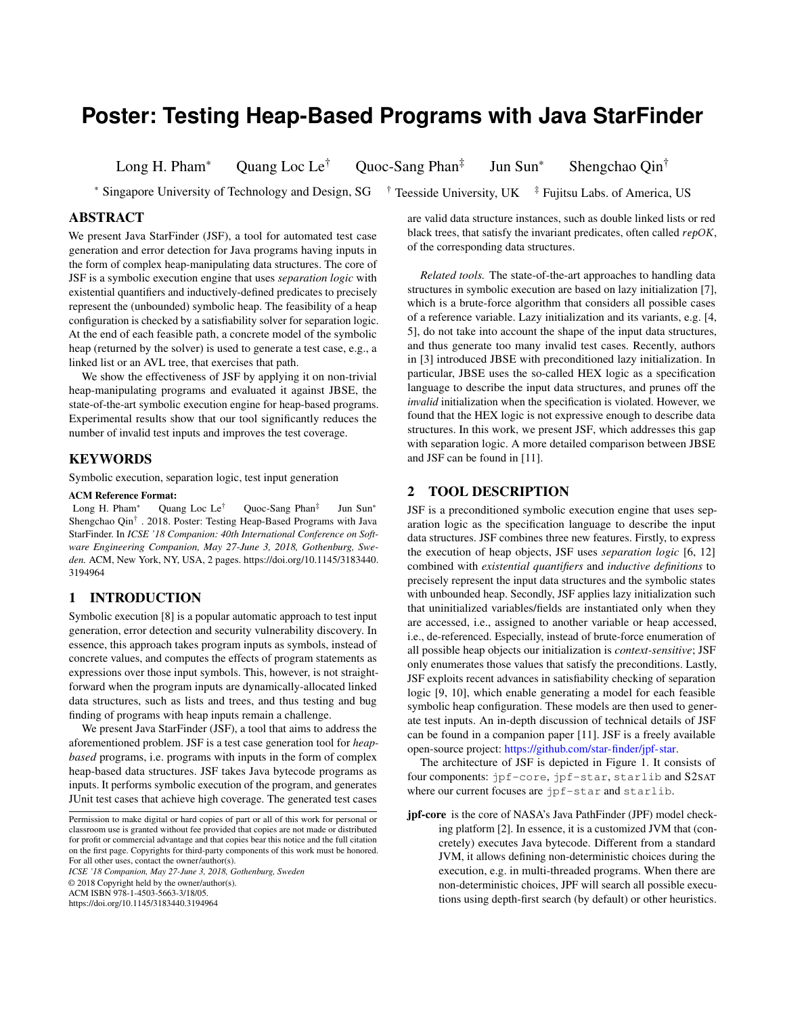# **Poster: Testing Heap-Based Programs with Java StarFinder**

Long H. Pham<sup>∗</sup> Quang Loc Le† Quoc-Sang Phan‡

Jun Sun<sup>∗</sup> Shengchao Qin†

<sup>∗</sup> Singapore University of Technology and Design, SG † Teesside University, UK ‡ Fujitsu Labs. of America, US

## ABSTRACT

We present Java StarFinder (JSF), a tool for automated test case generation and error detection for Java programs having inputs in the form of complex heap-manipulating data structures. The core of JSF is a symbolic execution engine that uses *separation logic* with existential quantifiers and inductively-defined predicates to precisely represent the (unbounded) symbolic heap. The feasibility of a heap configuration is checked by a satisfiability solver for separation logic. At the end of each feasible path, a concrete model of the symbolic heap (returned by the solver) is used to generate a test case, e.g., a linked list or an AVL tree, that exercises that path.

We show the effectiveness of JSF by applying it on non-trivial heap-manipulating programs and evaluated it against JBSE, the state-of-the-art symbolic execution engine for heap-based programs. Experimental results show that our tool significantly reduces the number of invalid test inputs and improves the test coverage.

#### KEYWORDS

Symbolic execution, separation logic, test input generation

#### ACM Reference Format:

Long H. Pham<sup>∗</sup> Quang Loc Le† Quoc-Sang Phan‡ Jun Sun<sup>∗</sup> Shengchao Qin<sup>†</sup> . 2018. Poster: Testing Heap-Based Programs with Java StarFinder. In *ICSE '18 Companion: 40th International Conference on Software Engineering Companion, May 27-June 3, 2018, Gothenburg, Sweden.* ACM, New York, NY, USA, [2](#page-1-0) pages. [https://doi.org/10.1145/3183440.](https://doi.org/10.1145/3183440.3194964) [3194964](https://doi.org/10.1145/3183440.3194964)

### 1 INTRODUCTION

Symbolic execution [\[8\]](#page-1-1) is a popular automatic approach to test input generation, error detection and security vulnerability discovery. In essence, this approach takes program inputs as symbols, instead of concrete values, and computes the effects of program statements as expressions over those input symbols. This, however, is not straightforward when the program inputs are dynamically-allocated linked data structures, such as lists and trees, and thus testing and bug finding of programs with heap inputs remain a challenge.

We present Java StarFinder (JSF), a tool that aims to address the aforementioned problem. JSF is a test case generation tool for *heapbased* programs, i.e. programs with inputs in the form of complex heap-based data structures. JSF takes Java bytecode programs as inputs. It performs symbolic execution of the program, and generates JUnit test cases that achieve high coverage. The generated test cases

*ICSE '18 Companion, May 27-June 3, 2018, Gothenburg, Sweden*

© 2018 Copyright held by the owner/author(s).

ACM ISBN 978-1-4503-5663-3/18/05.

<https://doi.org/10.1145/3183440.3194964>

are valid data structure instances, such as double linked lists or red black trees, that satisfy the invariant predicates, often called repOK, of the corresponding data structures.

*Related tools.* The state-of-the-art approaches to handling data structures in symbolic execution are based on lazy initialization [\[7\]](#page-1-2), which is a brute-force algorithm that considers all possible cases of a reference variable. Lazy initialization and its variants, e.g. [\[4,](#page-1-3) [5\]](#page-1-4), do not take into account the shape of the input data structures, and thus generate too many invalid test cases. Recently, authors in [\[3\]](#page-1-5) introduced JBSE with preconditioned lazy initialization. In particular, JBSE uses the so-called HEX logic as a specification language to describe the input data structures, and prunes off the *invalid* initialization when the specification is violated. However, we found that the HEX logic is not expressive enough to describe data structures. In this work, we present JSF, which addresses this gap with separation logic. A more detailed comparison between JBSE and JSF can be found in [\[11\]](#page-1-6).

#### 2 TOOL DESCRIPTION

JSF is a preconditioned symbolic execution engine that uses separation logic as the specification language to describe the input data structures. JSF combines three new features. Firstly, to express the execution of heap objects, JSF uses *separation logic* [\[6,](#page-1-7) [12\]](#page-1-8) combined with *existential quantifiers* and *inductive definitions* to precisely represent the input data structures and the symbolic states with unbounded heap. Secondly, JSF applies lazy initialization such that uninitialized variables/fields are instantiated only when they are accessed, i.e., assigned to another variable or heap accessed, i.e., de-referenced. Especially, instead of brute-force enumeration of all possible heap objects our initialization is *context-sensitive*; JSF only enumerates those values that satisfy the preconditions. Lastly, JSF exploits recent advances in satisfiability checking of separation logic [\[9,](#page-1-9) [10\]](#page-1-10), which enable generating a model for each feasible symbolic heap configuration. These models are then used to generate test inputs. An in-depth discussion of technical details of JSF can be found in a companion paper [\[11\]](#page-1-6). JSF is a freely available open-source project: [https://github.com/star-finder/jpf-star.](https://github.com/star-finder/jpf-star)

The architecture of JSF is depicted in Figure [1.](#page-1-11) It consists of four components: jpf-core, jpf-star, starlib and S2SAT where our current focuses are jpf-star and starlib.

jpf-core is the core of NASA's Java PathFinder (JPF) model checking platform [\[2\]](#page-1-12). In essence, it is a customized JVM that (concretely) executes Java bytecode. Different from a standard JVM, it allows defining non-deterministic choices during the execution, e.g. in multi-threaded programs. When there are non-deterministic choices, JPF will search all possible executions using depth-first search (by default) or other heuristics.

Permission to make digital or hard copies of part or all of this work for personal or classroom use is granted without fee provided that copies are not made or distributed for profit or commercial advantage and that copies bear this notice and the full citation on the first page. Copyrights for third-party components of this work must be honored. For all other uses, contact the owner/author(s).